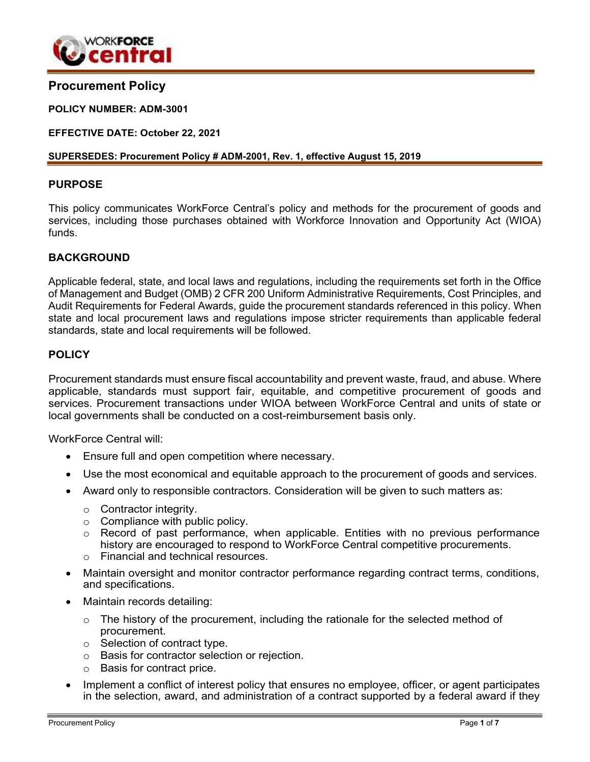

# **Procurement Policy**

#### **POLICY NUMBER: ADM-3001**

**EFFECTIVE DATE: October 22, 2021**

#### **SUPERSEDES: Procurement Policy # ADM-2001, Rev. 1, effective August 15, 2019**

## **PURPOSE**

This policy communicates WorkForce Central's policy and methods for the procurement of goods and services, including those purchases obtained with Workforce Innovation and Opportunity Act (WIOA) funds.

## **BACKGROUND**

Applicable federal, state, and local laws and regulations, including the requirements set forth in the Office of Management and Budget (OMB) 2 CFR 200 Uniform Administrative Requirements, Cost Principles, and Audit Requirements for Federal Awards, guide the procurement standards referenced in this policy. When state and local procurement laws and regulations impose stricter requirements than applicable federal standards, state and local requirements will be followed.

## **POLICY**

Procurement standards must ensure fiscal accountability and prevent waste, fraud, and abuse. Where applicable, standards must support fair, equitable, and competitive procurement of goods and services. Procurement transactions under WIOA between WorkForce Central and units of state or local governments shall be conducted on a cost-reimbursement basis only.

WorkForce Central will:

- Ensure full and open competition where necessary.
- Use the most economical and equitable approach to the procurement of goods and services.
- Award only to responsible contractors. Consideration will be given to such matters as:
	- o Contractor integrity.
	- $\circ$  Compliance with public policy.
	- o Record of past performance, when applicable. Entities with no previous performance history are encouraged to respond to WorkForce Central competitive procurements.
	- o Financial and technical resources.
- Maintain oversight and monitor contractor performance regarding contract terms, conditions, and specifications.
- Maintain records detailing:
	- $\circ$  The history of the procurement, including the rationale for the selected method of procurement.
	- o Selection of contract type.
	- o Basis for contractor selection or rejection.
	- o Basis for contract price.
- Implement a conflict of interest policy that ensures no employee, officer, or agent participates in the selection, award, and administration of a contract supported by a federal award if they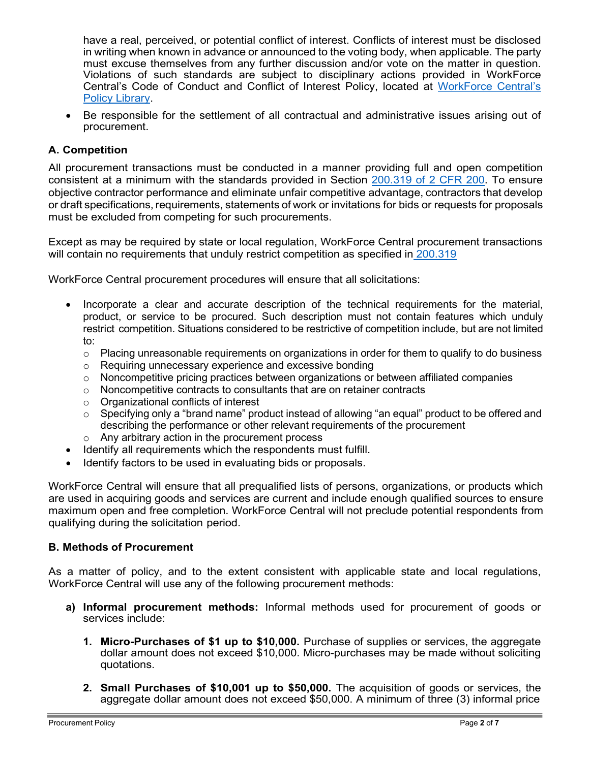have a real, perceived, or potential conflict of interest. Conflicts of interest must be disclosed in writing when known in advance or announced to the voting body, when applicable. The party must excuse themselves from any further discussion and/or vote on the matter in question. Violations of such standards are subject to disciplinary actions provided in WorkForce Central's Code of Conduct and Conflict of Interest Policy, located at [WorkForce Central's](https://workforce-central.org/about/policies/) [Policy Library.](https://workforce-central.org/about/policies/)

• Be responsible for the settlement of all contractual and administrative issues arising out of procurement.

# **A. Competition**

All procurement transactions must be conducted in a manner providing full and open competition consistent at a minimum with the standards provided in Section [200.319 of 2 CFR 200.](https://www.govinfo.gov/content/pkg/CFR-2014-title2-vol1/pdf/CFR-2014-title2-vol1-sec200-319.pdf) To ensure objective contractor performance and eliminate unfair competitive advantage, contractors that develop or draft specifications, requirements, statements of work or invitations for bids or requests for proposals must be excluded from competing for such procurements.

Except as may be required by state or local regulation, WorkForce Central procurement transactions will contain no requirements that unduly restrict competition as specified in [200.319](https://www.ecfr.gov/current/title-2/subtitle-A/chapter-II/part-200/subpart-D/subject-group-ECFR45ddd4419ad436d/section-200.319)

WorkForce Central procurement procedures will ensure that all solicitations:

- Incorporate a clear and accurate description of the technical requirements for the material, product, or service to be procured. Such description must not contain features which unduly restrict competition. Situations considered to be restrictive of competition include, but are not limited to:
	- $\circ$  Placing unreasonable requirements on organizations in order for them to qualify to do business
	- o Requiring unnecessary experience and excessive bonding
	- o Noncompetitive pricing practices between organizations or between affiliated companies
	- o Noncompetitive contracts to consultants that are on retainer contracts
	- o Organizational conflicts of interest
	- $\circ$  Specifying only a "brand name" product instead of allowing "an equal" product to be offered and describing the performance or other relevant requirements of the procurement
	- o Any arbitrary action in the procurement process
- Identify all requirements which the respondents must fulfill.
- Identify factors to be used in evaluating bids or proposals.

WorkForce Central will ensure that all prequalified lists of persons, organizations, or products which are used in acquiring goods and services are current and include enough qualified sources to ensure maximum open and free completion. WorkForce Central will not preclude potential respondents from qualifying during the solicitation period.

## **B. Methods of Procurement**

As a matter of policy, and to the extent consistent with applicable state and local regulations, WorkForce Central will use any of the following procurement methods:

- **a) Informal procurement methods:** Informal methods used for procurement of goods or services include:
	- **1. Micro-Purchases of \$1 up to \$10,000.** Purchase of supplies or services, the aggregate dollar amount does not exceed \$10,000. Micro-purchases may be made without soliciting quotations.
	- **2. Small Purchases of \$10,001 up to \$50,000.** The acquisition of goods or services, the aggregate dollar amount does not exceed \$50,000. A minimum of three (3) informal price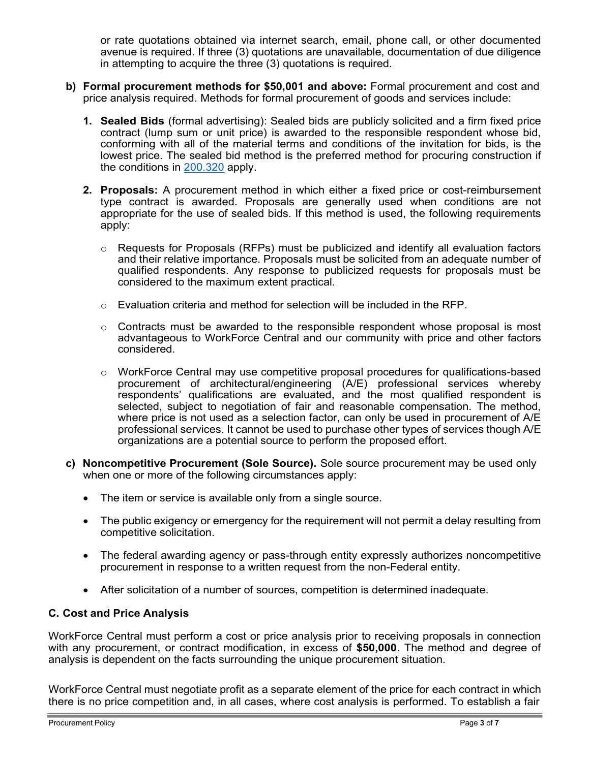or rate quotations obtained via internet search, email, phone call, or other documented avenue is required. If three (3) quotations are unavailable, documentation of due diligence in attempting to acquire the three (3) quotations is required.

- **b) Formal procurement methods for \$50,001 and above:** Formal procurement and cost and price analysis required. Methods for formal procurement of goods and services include:
	- **1. Sealed Bids** (formal advertising): Sealed bids are publicly solicited and a firm fixed price contract (lump sum or unit price) is awarded to the responsible respondent whose bid, conforming with all of the material terms and conditions of the invitation for bids, is the lowest price. The sealed bid method is the preferred method for procuring construction if the conditions in [200.320](https://www.govinfo.gov/content/pkg/CFR-2016-title2-vol1/pdf/CFR-2016-title2-vol1-sec200-320.pdf) apply.
	- **2. Proposals:** A procurement method in which either a fixed price or cost-reimbursement type contract is awarded. Proposals are generally used when conditions are not appropriate for the use of sealed bids. If this method is used, the following requirements apply:
		- $\circ$  Requests for Proposals (RFPs) must be publicized and identify all evaluation factors and their relative importance. Proposals must be solicited from an adequate number of qualified respondents. Any response to publicized requests for proposals must be considered to the maximum extent practical.
		- $\circ$  Evaluation criteria and method for selection will be included in the RFP.
		- $\circ$  Contracts must be awarded to the responsible respondent whose proposal is most advantageous to WorkForce Central and our community with price and other factors considered.
		- $\circ$  WorkForce Central may use competitive proposal procedures for qualifications-based procurement of architectural/engineering (A/E) professional services whereby respondents' qualifications are evaluated, and the most qualified respondent is selected, subject to negotiation of fair and reasonable compensation. The method, where price is not used as a selection factor, can only be used in procurement of A/E professional services. It cannot be used to purchase other types of services though A/E organizations are a potential source to perform the proposed effort.
- **c) Noncompetitive Procurement (Sole Source).** Sole source procurement may be used only when one or more of the following circumstances apply:
	- The item or service is available only from a single source.
	- The public exigency or emergency for the requirement will not permit a delay resulting from competitive solicitation.
	- The federal awarding agency or pass-through entity expressly authorizes noncompetitive procurement in response to a written request from the non-Federal entity.
	- After solicitation of a number of sources, competition is determined inadequate.

# **C. Cost and Price Analysis**

WorkForce Central must perform a cost or price analysis prior to receiving proposals in connection with any procurement, or contract modification, in excess of **\$50,000**. The method and degree of analysis is dependent on the facts surrounding the unique procurement situation.

WorkForce Central must negotiate profit as a separate element of the price for each contract in which there is no price competition and, in all cases, where cost analysis is performed. To establish a fair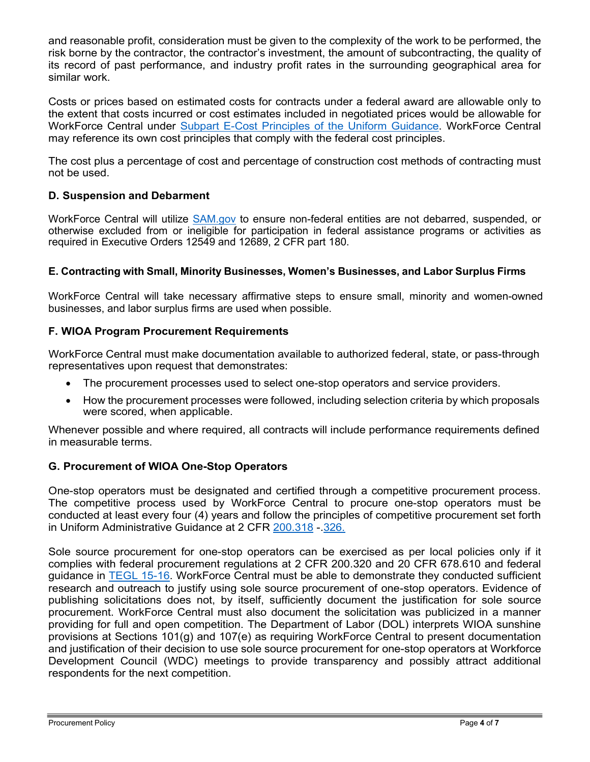and reasonable profit, consideration must be given to the complexity of the work to be performed, the risk borne by the contractor, the contractor's investment, the amount of subcontracting, the quality of its record of past performance, and industry profit rates in the surrounding geographical area for similar work.

Costs or prices based on estimated costs for contracts under a federal award are allowable only to the extent that costs incurred or cost estimates included in negotiated prices would be allowable for WorkForce Central under [Subpart E-Cost Principles of the Uniform Guidance.](https://www.ecfr.gov/cgi-bin/text-idx?node=2%3A1.1.2.2.1.5&rgn=div6) WorkForce Central may reference its own cost principles that comply with the federal cost principles.

The cost plus a percentage of cost and percentage of construction cost methods of contracting must not be used.

## **D. Suspension and Debarment**

WorkForce Central will utilize [SAM.gov](https://sam.gov/content/home) to ensure non-federal entities are not debarred, suspended, or otherwise excluded from or ineligible for participation in federal assistance programs or activities as required in Executive Orders 12549 and 12689, 2 CFR part 180.

## **E. Contracting with Small, Minority Businesses, Women's Businesses, and Labor Surplus Firms**

WorkForce Central will take necessary affirmative steps to ensure small, minority and women-owned businesses, and labor surplus firms are used when possible.

## **F. WIOA Program Procurement Requirements**

WorkForce Central must make documentation available to authorized federal, state, or pass-through representatives upon request that demonstrates:

- The procurement processes used to select one-stop operators and service providers.
- How the procurement processes were followed, including selection criteria by which proposals were scored, when applicable.

Whenever possible and where required, all contracts will include performance requirements defined in measurable terms.

## **G. Procurement of WIOA One-Stop Operators**

One-stop operators must be designated and certified through a competitive procurement process. The competitive process used by WorkForce Central to procure one-stop operators must be conducted at least every four (4) years and follow the principles of competitive procurement set forth in Uniform Administrative Guidance at 2 CFR [200.318](https://www.govinfo.gov/content/pkg/CFR-2017-title2-vol1/pdf/CFR-2017-title2-vol1-sec200-318.pdf) -[.326.](https://www.govinfo.gov/content/pkg/CFR-2017-title2-vol1/pdf/CFR-2017-title2-vol1-sec200-326.pdf)

Sole source procurement for one-stop operators can be exercised as per local policies only if it complies with federal procurement regulations at 2 CFR 200.320 and 20 CFR 678.610 and federal guidance in [TEGL 15-16.](https://wdr.doleta.gov/directives/attach/TEGL/TEGL_15-16.pdf) WorkForce Central must be able to demonstrate they conducted sufficient research and outreach to justify using sole source procurement of one-stop operators. Evidence of publishing solicitations does not, by itself, sufficiently document the justification for sole source procurement. WorkForce Central must also document the solicitation was publicized in a manner providing for full and open competition. The Department of Labor (DOL) interprets WIOA sunshine provisions at Sections 101(g) and 107(e) as requiring WorkForce Central to present documentation and justification of their decision to use sole source procurement for one-stop operators at Workforce Development Council (WDC) meetings to provide transparency and possibly attract additional respondents for the next competition.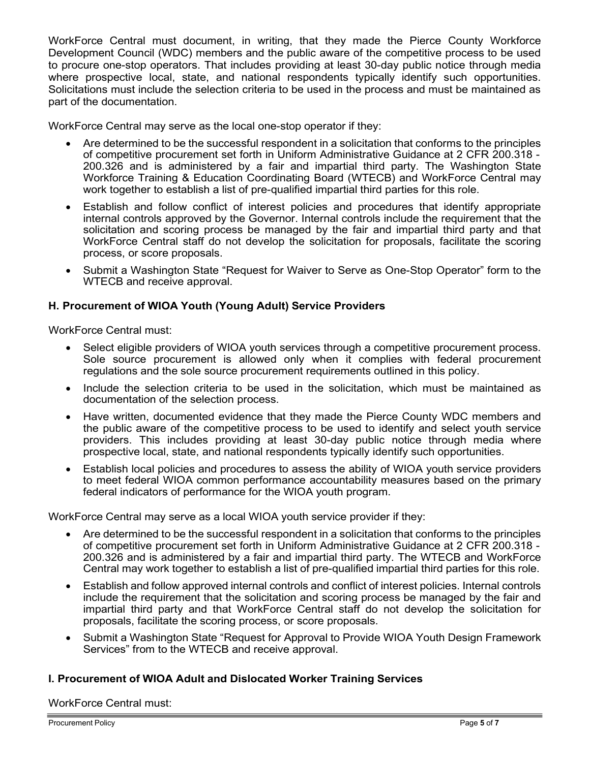WorkForce Central must document, in writing, that they made the Pierce County Workforce Development Council (WDC) members and the public aware of the competitive process to be used to procure one-stop operators. That includes providing at least 30-day public notice through media where prospective local, state, and national respondents typically identify such opportunities. Solicitations must include the selection criteria to be used in the process and must be maintained as part of the documentation.

WorkForce Central may serve as the local one-stop operator if they:

- Are determined to be the successful respondent in a solicitation that conforms to the principles of competitive procurement set forth in Uniform Administrative Guidance at 2 CFR 200.318 - 200.326 and is administered by a fair and impartial third party. The Washington State Workforce Training & Education Coordinating Board (WTECB) and WorkForce Central may work together to establish a list of pre-qualified impartial third parties for this role.
- Establish and follow conflict of interest policies and procedures that identify appropriate internal controls approved by the Governor. Internal controls include the requirement that the solicitation and scoring process be managed by the fair and impartial third party and that WorkForce Central staff do not develop the solicitation for proposals, facilitate the scoring process, or score proposals.
- Submit a Washington State "Request for Waiver to Serve as One-Stop Operator" form to the WTECB and receive approval.

## **H. Procurement of WIOA Youth (Young Adult) Service Providers**

WorkForce Central must:

- Select eligible providers of WIOA youth services through a competitive procurement process. Sole source procurement is allowed only when it complies with federal procurement regulations and the sole source procurement requirements outlined in this policy.
- Include the selection criteria to be used in the solicitation, which must be maintained as documentation of the selection process.
- Have written, documented evidence that they made the Pierce County WDC members and the public aware of the competitive process to be used to identify and select youth service providers. This includes providing at least 30-day public notice through media where prospective local, state, and national respondents typically identify such opportunities.
- Establish local policies and procedures to assess the ability of WIOA youth service providers to meet federal WIOA common performance accountability measures based on the primary federal indicators of performance for the WIOA youth program.

WorkForce Central may serve as a local WIOA youth service provider if they:

- Are determined to be the successful respondent in a solicitation that conforms to the principles of competitive procurement set forth in Uniform Administrative Guidance at 2 CFR 200.318 - 200.326 and is administered by a fair and impartial third party. The WTECB and WorkForce Central may work together to establish a list of pre-qualified impartial third parties for this role.
- Establish and follow approved internal controls and conflict of interest policies. Internal controls include the requirement that the solicitation and scoring process be managed by the fair and impartial third party and that WorkForce Central staff do not develop the solicitation for proposals, facilitate the scoring process, or score proposals.
- Submit a Washington State "Request for Approval to Provide WIOA Youth Design Framework Services" from to the WTECB and receive approval.

## **I. Procurement of WIOA Adult and Dislocated Worker Training Services**

WorkForce Central must: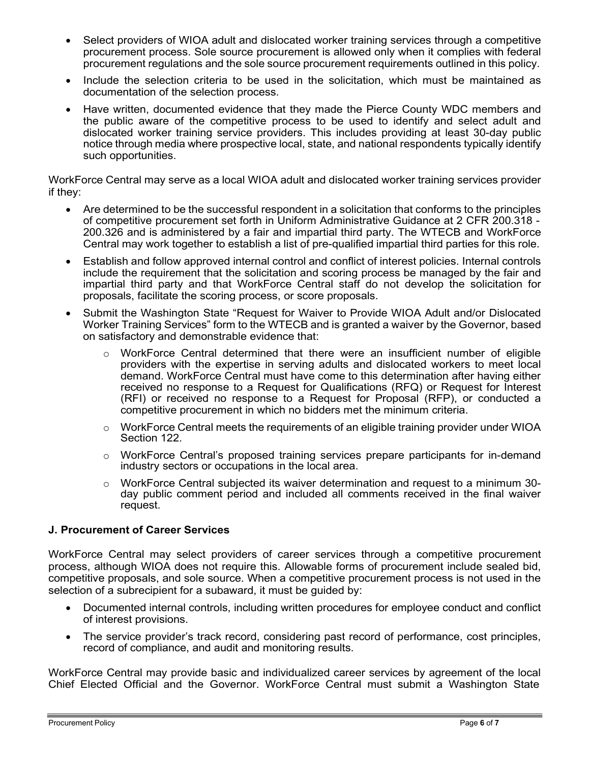- Select providers of WIOA adult and dislocated worker training services through a competitive procurement process. Sole source procurement is allowed only when it complies with federal procurement regulations and the sole source procurement requirements outlined in this policy.
- Include the selection criteria to be used in the solicitation, which must be maintained as documentation of the selection process.
- Have written, documented evidence that they made the Pierce County WDC members and the public aware of the competitive process to be used to identify and select adult and dislocated worker training service providers. This includes providing at least 30-day public notice through media where prospective local, state, and national respondents typically identify such opportunities.

WorkForce Central may serve as a local WIOA adult and dislocated worker training services provider if they:

- Are determined to be the successful respondent in a solicitation that conforms to the principles of competitive procurement set forth in Uniform Administrative Guidance at 2 CFR 200.318 - 200.326 and is administered by a fair and impartial third party. The WTECB and WorkForce Central may work together to establish a list of pre-qualified impartial third parties for this role.
- Establish and follow approved internal control and conflict of interest policies. Internal controls include the requirement that the solicitation and scoring process be managed by the fair and impartial third party and that WorkForce Central staff do not develop the solicitation for proposals, facilitate the scoring process, or score proposals.
- Submit the Washington State "Request for Waiver to Provide WIOA Adult and/or Dislocated Worker Training Services" form to the WTECB and is granted a waiver by the Governor, based on satisfactory and demonstrable evidence that:
	- $\circ$  WorkForce Central determined that there were an insufficient number of eligible providers with the expertise in serving adults and dislocated workers to meet local demand. WorkForce Central must have come to this determination after having either received no response to a Request for Qualifications (RFQ) or Request for Interest (RFI) or received no response to a Request for Proposal (RFP), or conducted a competitive procurement in which no bidders met the minimum criteria.
	- $\circ$  WorkForce Central meets the requirements of an eligible training provider under WIOA Section 122.
	- $\circ$  WorkForce Central's proposed training services prepare participants for in-demand industry sectors or occupations in the local area.
	- $\circ$  WorkForce Central subjected its waiver determination and request to a minimum 30day public comment period and included all comments received in the final waiver request.

## **J. Procurement of Career Services**

WorkForce Central may select providers of career services through a competitive procurement process, although WIOA does not require this. Allowable forms of procurement include sealed bid, competitive proposals, and sole source. When a competitive procurement process is not used in the selection of a subrecipient for a subaward, it must be guided by:

- Documented internal controls, including written procedures for employee conduct and conflict of interest provisions.
- The service provider's track record, considering past record of performance, cost principles, record of compliance, and audit and monitoring results.

WorkForce Central may provide basic and individualized career services by agreement of the local Chief Elected Official and the Governor. WorkForce Central must submit a Washington State